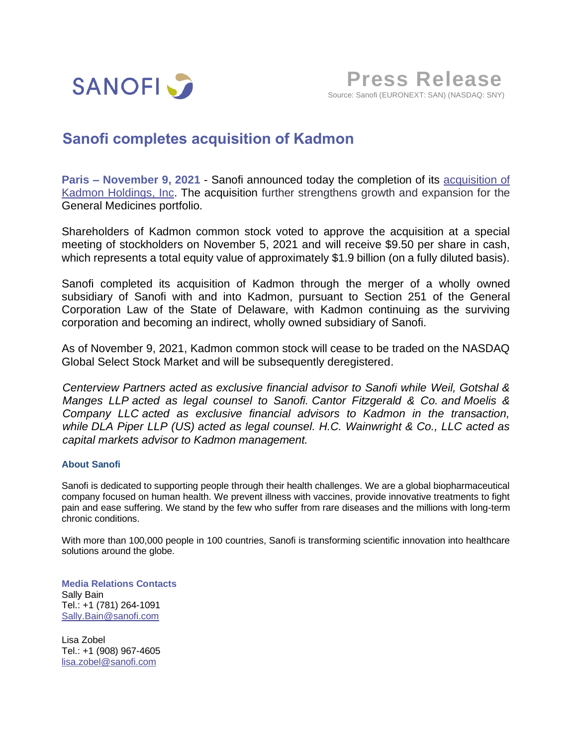

# **Sanofi completes acquisition of Kadmon**

**Paris – November 9, 2021** - Sanofi announced today the completion of its [acquisition of](https://www.sanofi.com/en/media-room/press-releases/2021/2021-09-08-07-00-00-2293017)  Kadmon [Holdings, Inc.](https://www.sanofi.com/en/media-room/press-releases/2021/2021-09-08-07-00-00-2293017) The acquisition further strengthens growth and expansion for the General Medicines portfolio.

Shareholders of Kadmon common stock voted to approve the acquisition at a special meeting of stockholders on November 5, 2021 and will receive \$9.50 per share in cash, which represents a total equity value of approximately \$1.9 billion (on a fully diluted basis).

Sanofi completed its acquisition of Kadmon through the merger of a wholly owned subsidiary of Sanofi with and into Kadmon, pursuant to Section 251 of the General Corporation Law of the State of Delaware, with Kadmon continuing as the surviving corporation and becoming an indirect, wholly owned subsidiary of Sanofi.

As of November 9, 2021, Kadmon common stock will cease to be traded on the NASDAQ Global Select Stock Market and will be subsequently deregistered.

*Centerview Partners acted as exclusive financial advisor to Sanofi while Weil, Gotshal & Manges LLP acted as legal counsel to Sanofi. Cantor Fitzgerald & Co. and Moelis & Company LLC acted as exclusive financial advisors to Kadmon in the transaction, while DLA Piper LLP (US) acted as legal counsel. H.C. Wainwright & Co., LLC acted as capital markets advisor to Kadmon management.*

## **About Sanofi**

Sanofi is dedicated to supporting people through their health challenges. We are a global biopharmaceutical company focused on human health. We prevent illness with vaccines, provide innovative treatments to fight pain and ease suffering. We stand by the few who suffer from rare diseases and the millions with long-term chronic conditions.

With more than 100,000 people in 100 countries, Sanofi is transforming scientific innovation into healthcare solutions around the globe.

**Media Relations Contacts** Sally Bain Tel.: +1 (781) 264-1091 [Sally.Bain@sanofi.com](mailto:Sally.Bain@sanofi.com)

Lisa Zobel Tel.: +1 (908) 967-4605 [lisa.zobel@sanofi.com](mailto:lisa.zobel@sanofi.com)